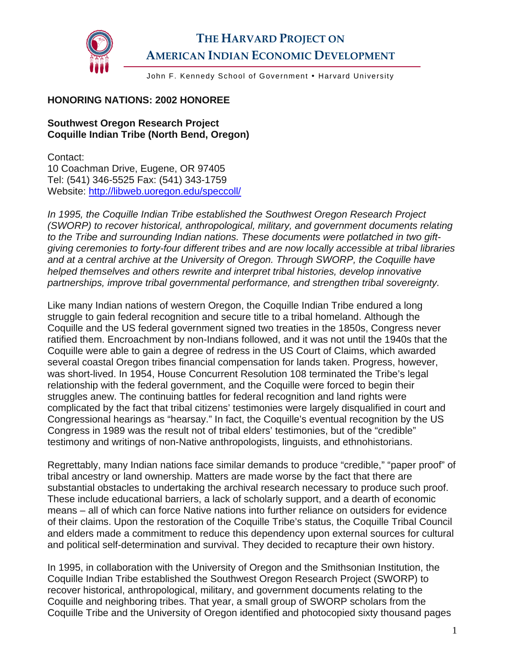

## **THE HARVARD PROJECT ON AMERICAN INDIAN ECONOMIC DEVELOPMENT**

John F. Kennedy School of Government . Harvard University

## **HONORING NATIONS: 2002 HONOREE**

## **Southwest Oregon Research Project Coquille Indian Tribe (North Bend, Oregon)**

Contact: 10 Coachman Drive, Eugene, OR 97405 Tel: (541) 346-5525 Fax: (541) 343-1759 Website: <http://libweb.uoregon.edu/speccoll/>

*In 1995, the Coquille Indian Tribe established the Southwest Oregon Research Project (SWORP) to recover historical, anthropological, military, and government documents relating to the Tribe and surrounding Indian nations. These documents were potlatched in two giftgiving ceremonies to forty-four different tribes and are now locally accessible at tribal libraries and at a central archive at the University of Oregon. Through SWORP, the Coquille have helped themselves and others rewrite and interpret tribal histories, develop innovative partnerships, improve tribal governmental performance, and strengthen tribal sovereignty.* 

Like many Indian nations of western Oregon, the Coquille Indian Tribe endured a long struggle to gain federal recognition and secure title to a tribal homeland. Although the Coquille and the US federal government signed two treaties in the 1850s, Congress never ratified them. Encroachment by non-Indians followed, and it was not until the 1940s that the Coquille were able to gain a degree of redress in the US Court of Claims, which awarded several coastal Oregon tribes financial compensation for lands taken. Progress, however, was short-lived. In 1954, House Concurrent Resolution 108 terminated the Tribe's legal relationship with the federal government, and the Coquille were forced to begin their struggles anew. The continuing battles for federal recognition and land rights were complicated by the fact that tribal citizens' testimonies were largely disqualified in court and Congressional hearings as "hearsay." In fact, the Coquille's eventual recognition by the US Congress in 1989 was the result not of tribal elders' testimonies, but of the "credible" testimony and writings of non-Native anthropologists, linguists, and ethnohistorians.

Regrettably, many Indian nations face similar demands to produce "credible," "paper proof" of tribal ancestry or land ownership. Matters are made worse by the fact that there are substantial obstacles to undertaking the archival research necessary to produce such proof. These include educational barriers, a lack of scholarly support, and a dearth of economic means – all of which can force Native nations into further reliance on outsiders for evidence of their claims. Upon the restoration of the Coquille Tribe's status, the Coquille Tribal Council and elders made a commitment to reduce this dependency upon external sources for cultural and political self-determination and survival. They decided to recapture their own history.

In 1995, in collaboration with the University of Oregon and the Smithsonian Institution, the Coquille Indian Tribe established the Southwest Oregon Research Project (SWORP) to recover historical, anthropological, military, and government documents relating to the Coquille and neighboring tribes. That year, a small group of SWORP scholars from the Coquille Tribe and the University of Oregon identified and photocopied sixty thousand pages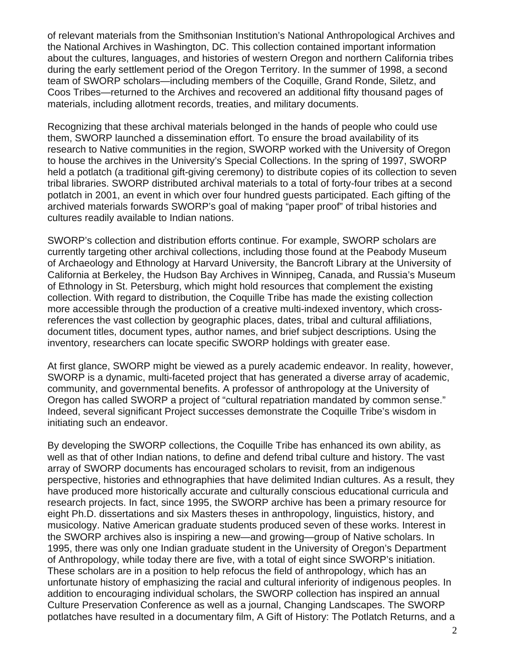of relevant materials from the Smithsonian Institution's National Anthropological Archives and the National Archives in Washington, DC. This collection contained important information about the cultures, languages, and histories of western Oregon and northern California tribes during the early settlement period of the Oregon Territory. In the summer of 1998, a second team of SWORP scholars—including members of the Coquille, Grand Ronde, Siletz, and Coos Tribes—returned to the Archives and recovered an additional fifty thousand pages of materials, including allotment records, treaties, and military documents.

Recognizing that these archival materials belonged in the hands of people who could use them, SWORP launched a dissemination effort. To ensure the broad availability of its research to Native communities in the region, SWORP worked with the University of Oregon to house the archives in the University's Special Collections. In the spring of 1997, SWORP held a potlatch (a traditional gift-giving ceremony) to distribute copies of its collection to seven tribal libraries. SWORP distributed archival materials to a total of forty-four tribes at a second potlatch in 2001, an event in which over four hundred guests participated. Each gifting of the archived materials forwards SWORP's goal of making "paper proof" of tribal histories and cultures readily available to Indian nations.

SWORP's collection and distribution efforts continue. For example, SWORP scholars are currently targeting other archival collections, including those found at the Peabody Museum of Archaeology and Ethnology at Harvard University, the Bancroft Library at the University of California at Berkeley, the Hudson Bay Archives in Winnipeg, Canada, and Russia's Museum of Ethnology in St. Petersburg, which might hold resources that complement the existing collection. With regard to distribution, the Coquille Tribe has made the existing collection more accessible through the production of a creative multi-indexed inventory, which crossreferences the vast collection by geographic places, dates, tribal and cultural affiliations, document titles, document types, author names, and brief subject descriptions. Using the inventory, researchers can locate specific SWORP holdings with greater ease.

At first glance, SWORP might be viewed as a purely academic endeavor. In reality, however, SWORP is a dynamic, multi-faceted project that has generated a diverse array of academic, community, and governmental benefits. A professor of anthropology at the University of Oregon has called SWORP a project of "cultural repatriation mandated by common sense." Indeed, several significant Project successes demonstrate the Coquille Tribe's wisdom in initiating such an endeavor.

By developing the SWORP collections, the Coquille Tribe has enhanced its own ability, as well as that of other Indian nations, to define and defend tribal culture and history. The vast array of SWORP documents has encouraged scholars to revisit, from an indigenous perspective, histories and ethnographies that have delimited Indian cultures. As a result, they have produced more historically accurate and culturally conscious educational curricula and research projects. In fact, since 1995, the SWORP archive has been a primary resource for eight Ph.D. dissertations and six Masters theses in anthropology, linguistics, history, and musicology. Native American graduate students produced seven of these works. Interest in the SWORP archives also is inspiring a new—and growing—group of Native scholars. In 1995, there was only one Indian graduate student in the University of Oregon's Department of Anthropology, while today there are five, with a total of eight since SWORP's initiation. These scholars are in a position to help refocus the field of anthropology, which has an unfortunate history of emphasizing the racial and cultural inferiority of indigenous peoples. In addition to encouraging individual scholars, the SWORP collection has inspired an annual Culture Preservation Conference as well as a journal, Changing Landscapes. The SWORP potlatches have resulted in a documentary film, A Gift of History: The Potlatch Returns, and a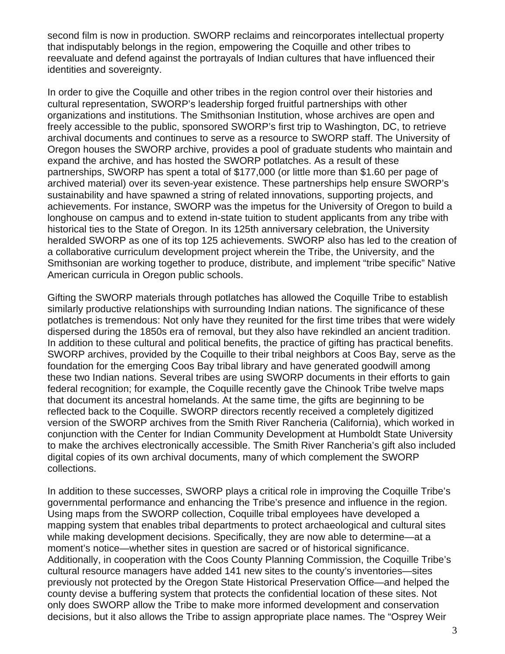second film is now in production. SWORP reclaims and reincorporates intellectual property that indisputably belongs in the region, empowering the Coquille and other tribes to reevaluate and defend against the portrayals of Indian cultures that have influenced their identities and sovereignty.

In order to give the Coquille and other tribes in the region control over their histories and cultural representation, SWORP's leadership forged fruitful partnerships with other organizations and institutions. The Smithsonian Institution, whose archives are open and freely accessible to the public, sponsored SWORP's first trip to Washington, DC, to retrieve archival documents and continues to serve as a resource to SWORP staff. The University of Oregon houses the SWORP archive, provides a pool of graduate students who maintain and expand the archive, and has hosted the SWORP potlatches. As a result of these partnerships, SWORP has spent a total of \$177,000 (or little more than \$1.60 per page of archived material) over its seven-year existence. These partnerships help ensure SWORP's sustainability and have spawned a string of related innovations, supporting projects, and achievements. For instance, SWORP was the impetus for the University of Oregon to build a longhouse on campus and to extend in-state tuition to student applicants from any tribe with historical ties to the State of Oregon. In its 125th anniversary celebration, the University heralded SWORP as one of its top 125 achievements. SWORP also has led to the creation of a collaborative curriculum development project wherein the Tribe, the University, and the Smithsonian are working together to produce, distribute, and implement "tribe specific" Native American curricula in Oregon public schools.

Gifting the SWORP materials through potlatches has allowed the Coquille Tribe to establish similarly productive relationships with surrounding Indian nations. The significance of these potlatches is tremendous: Not only have they reunited for the first time tribes that were widely dispersed during the 1850s era of removal, but they also have rekindled an ancient tradition. In addition to these cultural and political benefits, the practice of gifting has practical benefits. SWORP archives, provided by the Coquille to their tribal neighbors at Coos Bay, serve as the foundation for the emerging Coos Bay tribal library and have generated goodwill among these two Indian nations. Several tribes are using SWORP documents in their efforts to gain federal recognition; for example, the Coquille recently gave the Chinook Tribe twelve maps that document its ancestral homelands. At the same time, the gifts are beginning to be reflected back to the Coquille. SWORP directors recently received a completely digitized version of the SWORP archives from the Smith River Rancheria (California), which worked in conjunction with the Center for Indian Community Development at Humboldt State University to make the archives electronically accessible. The Smith River Rancheria's gift also included digital copies of its own archival documents, many of which complement the SWORP collections.

In addition to these successes, SWORP plays a critical role in improving the Coquille Tribe's governmental performance and enhancing the Tribe's presence and influence in the region. Using maps from the SWORP collection, Coquille tribal employees have developed a mapping system that enables tribal departments to protect archaeological and cultural sites while making development decisions. Specifically, they are now able to determine—at a moment's notice—whether sites in question are sacred or of historical significance. Additionally, in cooperation with the Coos County Planning Commission, the Coquille Tribe's cultural resource managers have added 141 new sites to the county's inventories—sites previously not protected by the Oregon State Historical Preservation Office—and helped the county devise a buffering system that protects the confidential location of these sites. Not only does SWORP allow the Tribe to make more informed development and conservation decisions, but it also allows the Tribe to assign appropriate place names. The "Osprey Weir